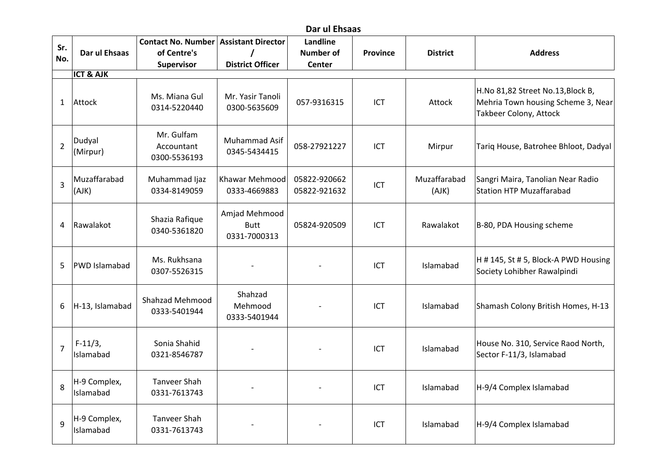## **Dar ul Ehsaas**

| Sr.            |                                | <b>Contact No. Number</b>                | <b>Assistant Director</b>                    | <b>Landline</b>              |                 |                       |                                                                                                          |
|----------------|--------------------------------|------------------------------------------|----------------------------------------------|------------------------------|-----------------|-----------------------|----------------------------------------------------------------------------------------------------------|
| No.            | Dar ul Ehsaas                  | of Centre's                              |                                              | <b>Number of</b>             | <b>Province</b> | <b>District</b>       | <b>Address</b>                                                                                           |
|                |                                | Supervisor                               | <b>District Officer</b>                      | <b>Center</b>                |                 |                       |                                                                                                          |
| 1              | <b>ICT &amp; AJK</b><br>Attock | Ms. Miana Gul<br>0314-5220440            | Mr. Yasir Tanoli<br>0300-5635609             | 057-9316315                  | ICT             | Attock                | H.No 81,82 Street No.13, Block B,<br>Mehria Town housing Scheme 3, Near<br><b>Takbeer Colony, Attock</b> |
| $\overline{2}$ | Dudyal<br>(Mirpur)             | Mr. Gulfam<br>Accountant<br>0300-5536193 | Muhammad Asif<br>0345-5434415                | 058-27921227                 | ICT             | Mirpur                | Tariq House, Batrohee Bhloot, Dadyal                                                                     |
| $\overline{3}$ | Muzaffarabad<br>(AJK)          | Muhammad Ijaz<br>0334-8149059            | Khawar Mehmood<br>0333-4669883               | 05822-920662<br>05822-921632 | ICT             | Muzaffarabad<br>(AJK) | Sangri Maira, Tanolian Near Radio<br><b>Station HTP Muzaffarabad</b>                                     |
| 4              | Rawalakot                      | Shazia Rafique<br>0340-5361820           | Amjad Mehmood<br><b>Butt</b><br>0331-7000313 | 05824-920509                 | ICT             | Rawalakot             | B-80, PDA Housing scheme                                                                                 |
| 5              | <b>PWD Islamabad</b>           | Ms. Rukhsana<br>0307-5526315             |                                              |                              | ICT             | Islamabad             | H # 145, St # 5, Block-A PWD Housing<br>Society Lohibher Rawalpindi                                      |
| 6              | H-13, Islamabad                | Shahzad Mehmood<br>0333-5401944          | Shahzad<br>Mehmood<br>0333-5401944           |                              | ICT             | Islamabad             | Shamash Colony British Homes, H-13                                                                       |
| $\overline{7}$ | $F-11/3$ ,<br>Islamabad        | Sonia Shahid<br>0321-8546787             |                                              |                              | ICT             | Islamabad             | House No. 310, Service Raod North,<br>Sector F-11/3, Islamabad                                           |
| 8              | H-9 Complex,<br>Islamabad      | <b>Tanveer Shah</b><br>0331-7613743      |                                              |                              | ICT             | Islamabad             | H-9/4 Complex Islamabad                                                                                  |
| 9              | H-9 Complex,<br>Islamabad      | <b>Tanveer Shah</b><br>0331-7613743      |                                              |                              | ICT             | Islamabad             | H-9/4 Complex Islamabad                                                                                  |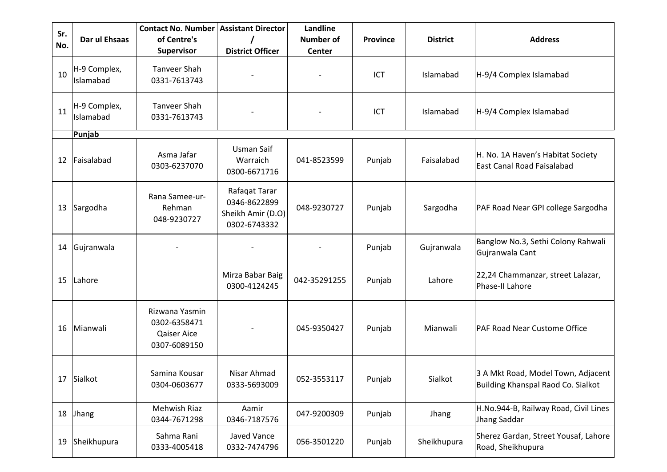| Sr.<br>No. | Dar ul Ehsaas             | <b>Contact No. Number</b><br>of Centre's<br><b>Supervisor</b> | <b>Assistant Director</b><br><b>District Officer</b>               | Landline<br><b>Number of</b><br>Center | <b>Province</b> | <b>District</b> | <b>Address</b>                                                           |
|------------|---------------------------|---------------------------------------------------------------|--------------------------------------------------------------------|----------------------------------------|-----------------|-----------------|--------------------------------------------------------------------------|
| 10         | H-9 Complex,<br>Islamabad | <b>Tanveer Shah</b><br>0331-7613743                           |                                                                    |                                        | ICT             | Islamabad       | H-9/4 Complex Islamabad                                                  |
| 11         | H-9 Complex,<br>Islamabad | <b>Tanveer Shah</b><br>0331-7613743                           |                                                                    |                                        | ICT             | Islamabad       | H-9/4 Complex Islamabad                                                  |
|            | Punjab                    |                                                               |                                                                    |                                        |                 |                 |                                                                          |
| 12         | Faisalabad                | Asma Jafar<br>0303-6237070                                    | Usman Saif<br>Warraich<br>0300-6671716                             | 041-8523599                            | Punjab          | Faisalabad      | H. No. 1A Haven's Habitat Society<br>East Canal Road Faisalabad          |
| 13         | Sargodha                  | Rana Samee-ur-<br>Rehman<br>048-9230727                       | Rafaqat Tarar<br>0346-8622899<br>Sheikh Amir (D.O)<br>0302-6743332 | 048-9230727                            | Punjab          | Sargodha        | PAF Road Near GPI college Sargodha                                       |
| 14         | Gujranwala                |                                                               |                                                                    |                                        | Punjab          | Gujranwala      | Banglow No.3, Sethi Colony Rahwali<br>Gujranwala Cant                    |
| 15         | Lahore                    |                                                               | Mirza Babar Baig<br>0300-4124245                                   | 042-35291255                           | Punjab          | Lahore          | 22,24 Chammanzar, street Lalazar,<br>Phase-II Lahore                     |
| 16         | Mianwali                  | Rizwana Yasmin<br>0302-6358471<br>Qaiser Aice<br>0307-6089150 |                                                                    | 045-9350427                            | Punjab          | Mianwali        | PAF Road Near Custome Office                                             |
| 17         | Sialkot                   | Samina Kousar<br>0304-0603677                                 | Nisar Ahmad<br>0333-5693009                                        | 052-3553117                            | Punjab          | Sialkot         | 3 A Mkt Road, Model Town, Adjacent<br>Building Khanspal Raod Co. Sialkot |
| 18         | Jhang                     | Mehwish Riaz<br>0344-7671298                                  | Aamir<br>0346-7187576                                              | 047-9200309                            | Punjab          | Jhang           | H.No.944-B, Railway Road, Civil Lines<br>Jhang Saddar                    |
| 19         | Sheikhupura               | Sahma Rani<br>0333-4005418                                    | Javed Vance<br>0332-7474796                                        | 056-3501220                            | Punjab          | Sheikhupura     | Sherez Gardan, Street Yousaf, Lahore<br>Road, Sheikhupura                |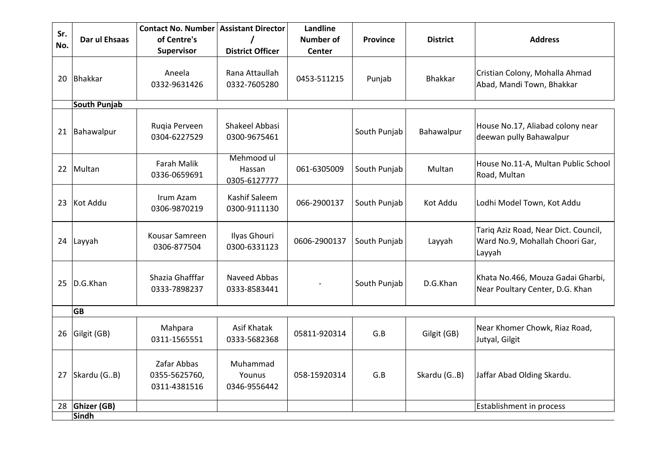| Sr.<br>No. | Dar ul Ehsaas               | <b>Contact No. Number</b><br>of Centre's<br>Supervisor | <b>Assistant Director</b><br><b>District Officer</b> | Landline<br><b>Number of</b><br>Center | <b>Province</b> | <b>District</b> | <b>Address</b>                                                                    |
|------------|-----------------------------|--------------------------------------------------------|------------------------------------------------------|----------------------------------------|-----------------|-----------------|-----------------------------------------------------------------------------------|
| 20         | <b>Bhakkar</b>              | Aneela<br>0332-9631426                                 | Rana Attaullah<br>0332-7605280                       | 0453-511215                            | Punjab          | <b>Bhakkar</b>  | Cristian Colony, Mohalla Ahmad<br>Abad, Mandi Town, Bhakkar                       |
|            | <b>South Punjab</b>         |                                                        |                                                      |                                        |                 |                 |                                                                                   |
| 21         | Bahawalpur                  | Ruqia Perveen<br>0304-6227529                          | Shakeel Abbasi<br>0300-9675461                       |                                        | South Punjab    | Bahawalpur      | House No.17, Aliabad colony near<br>deewan pully Bahawalpur                       |
| 22         | Multan                      | <b>Farah Malik</b><br>0336-0659691                     | Mehmood ul<br>Hassan<br>0305-6127777                 | 061-6305009                            | South Punjab    | Multan          | House No.11-A, Multan Public School<br>Road, Multan                               |
| 23         | Kot Addu                    | Irum Azam<br>0306-9870219                              | Kashif Saleem<br>0300-9111130                        | 066-2900137                            | South Punjab    | Kot Addu        | Lodhi Model Town, Kot Addu                                                        |
| 24         | Layyah                      | Kousar Samreen<br>0306-877504                          | Ilyas Ghouri<br>0300-6331123                         | 0606-2900137                           | South Punjab    | Layyah          | Tariq Aziz Road, Near Dict. Council,<br>Ward No.9, Mohallah Choori Gar,<br>Layyah |
| 25         | D.G.Khan                    | Shazia Ghafffar<br>0333-7898237                        | Naveed Abbas<br>0333-8583441                         |                                        | South Punjab    | D.G.Khan        | Khata No.466, Mouza Gadai Gharbi,<br>Near Poultary Center, D.G. Khan              |
|            | <b>GB</b>                   |                                                        |                                                      |                                        |                 |                 |                                                                                   |
| 26         | Gilgit (GB)                 | Mahpara<br>0311-1565551                                | Asif Khatak<br>0333-5682368                          | 05811-920314                           | G.B             | Gilgit (GB)     | Near Khomer Chowk, Riaz Road,<br>Jutyal, Gilgit                                   |
| 27         | Skardu (GB)                 | Zafar Abbas<br>0355-5625760,<br>0311-4381516           | Muhammad<br>Younus<br>0346-9556442                   | 058-15920314                           | G.B             | Skardu (GB)     | Jaffar Abad Olding Skardu.                                                        |
| 28         | Ghizer (GB)<br><b>Sindh</b> |                                                        |                                                      |                                        |                 |                 | Establishment in process                                                          |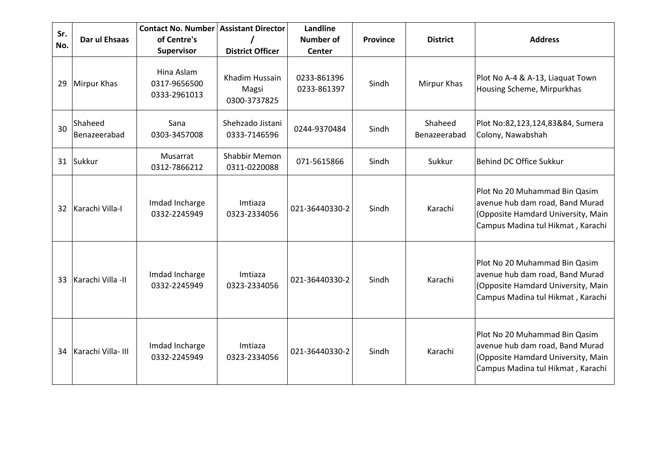| Sr. |                         | <b>Contact No. Number</b>                  | <b>Assistant Director</b>               | Landline                   |                 |                         |                                                                                                                                             |
|-----|-------------------------|--------------------------------------------|-----------------------------------------|----------------------------|-----------------|-------------------------|---------------------------------------------------------------------------------------------------------------------------------------------|
| No. | Dar ul Ehsaas           | of Centre's                                |                                         | Number of                  | <b>Province</b> | <b>District</b>         | <b>Address</b>                                                                                                                              |
|     |                         | Supervisor                                 | <b>District Officer</b>                 | Center                     |                 |                         |                                                                                                                                             |
| 29  | Mirpur Khas             | Hina Aslam<br>0317-9656500<br>0333-2961013 | Khadim Hussain<br>Magsi<br>0300-3737825 | 0233-861396<br>0233-861397 | Sindh           | Mirpur Khas             | Plot No A-4 & A-13, Liaquat Town<br>Housing Scheme, Mirpurkhas                                                                              |
| 30  | Shaheed<br>Benazeerabad | Sana<br>0303-3457008                       | Shehzado Jistani<br>0333-7146596        | 0244-9370484               | Sindh           | Shaheed<br>Benazeerabad | Plot No:82,123,124,83&84, Sumera<br>Colony, Nawabshah                                                                                       |
| 31  | Sukkur                  | Musarrat<br>0312-7866212                   | <b>Shabbir Memon</b><br>0311-0220088    | 071-5615866                | Sindh           | Sukkur                  | Behind DC Office Sukkur                                                                                                                     |
| 32  | Karachi Villa-I         | Imdad Incharge<br>0332-2245949             | Imtiaza<br>0323-2334056                 | 021-36440330-2             | Sindh           | Karachi                 | Plot No 20 Muhammad Bin Qasim<br>avenue hub dam road, Band Murad<br>(Opposite Hamdard University, Main<br>Campus Madina tul Hikmat, Karachi |
| 33  | Karachi Villa -II       | Imdad Incharge<br>0332-2245949             | Imtiaza<br>0323-2334056                 | 021-36440330-2             | Sindh           | Karachi                 | Plot No 20 Muhammad Bin Qasim<br>avenue hub dam road, Band Murad<br>(Opposite Hamdard University, Main<br>Campus Madina tul Hikmat, Karachi |
| 34  | Karachi Villa- III      | Imdad Incharge<br>0332-2245949             | Imtiaza<br>0323-2334056                 | 021-36440330-2             | Sindh           | Karachi                 | Plot No 20 Muhammad Bin Qasim<br>avenue hub dam road, Band Murad<br>(Opposite Hamdard University, Main<br>Campus Madina tul Hikmat, Karachi |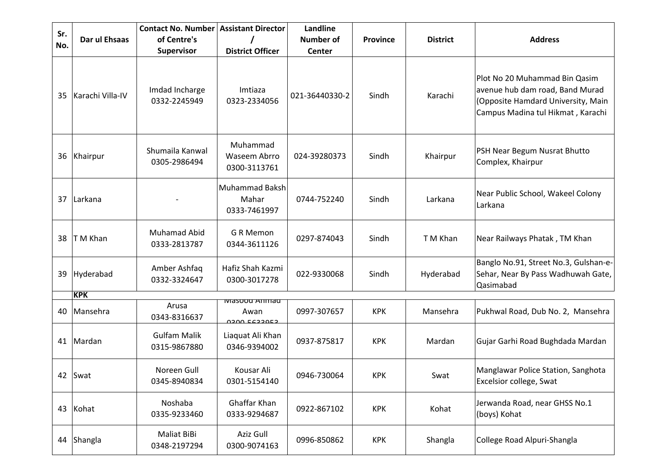| Sr.<br>No. | Dar ul Ehsaas    | <b>Contact No. Number</b><br>of Centre's<br>Supervisor | <b>Assistant Director</b><br><b>District Officer</b> | Landline<br><b>Number of</b><br><b>Center</b> | <b>Province</b> | <b>District</b> | <b>Address</b>                                                                                                                              |
|------------|------------------|--------------------------------------------------------|------------------------------------------------------|-----------------------------------------------|-----------------|-----------------|---------------------------------------------------------------------------------------------------------------------------------------------|
| 35         | Karachi Villa-IV | Imdad Incharge<br>0332-2245949                         | Imtiaza<br>0323-2334056                              | 021-36440330-2                                | Sindh           | Karachi         | Plot No 20 Muhammad Bin Qasim<br>avenue hub dam road, Band Murad<br>(Opposite Hamdard University, Main<br>Campus Madina tul Hikmat, Karachi |
| 36         | Khairpur         | Shumaila Kanwal<br>0305-2986494                        | Muhammad<br>Waseem Abrro<br>0300-3113761             | 024-39280373                                  | Sindh           | Khairpur        | PSH Near Begum Nusrat Bhutto<br>Complex, Khairpur                                                                                           |
| 37         | Larkana          |                                                        | <b>Muhammad Baksh</b><br>Mahar<br>0333-7461997       | 0744-752240                                   | Sindh           | Larkana         | Near Public School, Wakeel Colony<br>Larkana                                                                                                |
| 38         | T M Khan         | <b>Muhamad Abid</b><br>0333-2813787                    | G R Memon<br>0344-3611126                            | 0297-874043                                   | Sindh           | T M Khan        | Near Railways Phatak, TM Khan                                                                                                               |
| 39         | Hyderabad        | Amber Ashfaq<br>0332-3324647                           | Hafiz Shah Kazmi<br>0300-3017278                     | 022-9330068                                   | Sindh           | Hyderabad       | Banglo No.91, Street No.3, Gulshan-e-<br>Sehar, Near By Pass Wadhuwah Gate,<br>Qasimabad                                                    |
|            | <b>KPK</b>       |                                                        |                                                      |                                               |                 |                 |                                                                                                                                             |
| 40         | Mansehra         | Arusa<br>0343-8316637                                  | Masood Anihad<br>Awan<br>בפמככשם מחכם                | 0997-307657                                   | <b>KPK</b>      | Mansehra        | Pukhwal Road, Dub No. 2, Mansehra                                                                                                           |
| 41         | Mardan           | <b>Gulfam Malik</b><br>0315-9867880                    | Liaquat Ali Khan<br>0346-9394002                     | 0937-875817                                   | <b>KPK</b>      | Mardan          | Gujar Garhi Road Bughdada Mardan                                                                                                            |
|            | 42 Swat          | Noreen Gull<br>0345-8940834                            | Kousar Ali<br>0301-5154140                           | 0946-730064                                   | <b>KPK</b>      | Swat            | Manglawar Police Station, Sanghota<br>Excelsior college, Swat                                                                               |
| 43         | Kohat            | Noshaba<br>0335-9233460                                | Ghaffar Khan<br>0333-9294687                         | 0922-867102                                   | KPK             | Kohat           | Jerwanda Road, near GHSS No.1<br>(boys) Kohat                                                                                               |
| 44         | Shangla          | Maliat BiBi<br>0348-2197294                            | Aziz Gull<br>0300-9074163                            | 0996-850862                                   | <b>KPK</b>      | Shangla         | College Road Alpuri-Shangla                                                                                                                 |